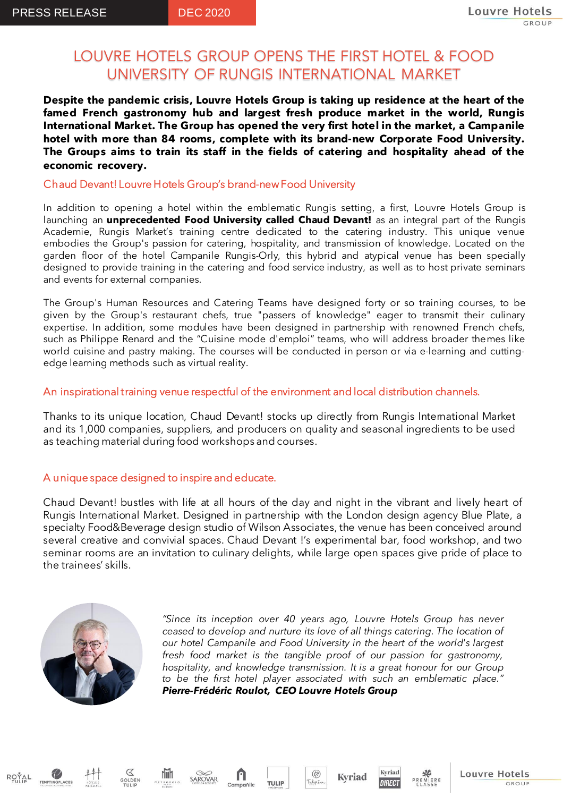# LOUVRE HOTELS GROUP OPENS THE FIRST HOTEL & FOOD UNIVERSITY OF RUNGIS INTERNATIONAL MARKET

**Despite the pandemic crisis, Louvre Hotels Group is taking up residence at the heart of the famed French gastronomy hub and largest fresh produce market in the world, Rungis International Market. The Group has opened the very first hotel in the market, a Campanile hotel with more than 84 rooms, complete with its brand-new Corporate Food University. The Groups aims to train its staff in the fields of catering and hospitality ahead of the economic recovery.**

## Chaud Devant! Louvre Hotels Group's brand-newFood University

In addition to opening a hotel within the emblematic Rungis setting, a first, Louvre Hotels Group is launching an **unprecedented Food University called Chaud Devant!** as an integral part of the Rungis Academie, Rungis Market's training centre dedicated to the catering industry. This unique venue embodies the Group's passion for catering, hospitality, and transmission of knowledge. Located on the garden floor of the hotel Campanile Rungis-Orly, this hybrid and atypical venue has been specially designed to provide training in the catering and food service industry, as well as to host private seminars and events for external companies.

The Group's Human Resources and Catering Teams have designed forty or so training courses, to be given by the Group's restaurant chefs, true "passers of knowledge" eager to transmit their culinary expertise. In addition, some modules have been designed in partnership with renowned French chefs, such as Philippe Renard and the "Cuisine mode d'emploi" teams, who will address broader themes like world cuisine and pastry making. The courses will be conducted in person or via e-learning and cuttingedge learning methods such as virtual reality.

## An inspirational training venue respectful of the environment and local distribution channels.

Thanks to its unique location, Chaud Devant! stocks up directly from Rungis International Market and its 1,000 companies, suppliers, and producers on quality and seasonal ingredients to be used as teaching material during food workshops and courses.

## A unique space designed to inspire and educate.

Chaud Devant! bustles with life at all hours of the day and night in the vibrant and lively heart of Rungis International Market. Designed in partnership with the London design agency Blue Plate, a specialty Food&Beverage design studio of Wilson Associates, the venue has been conceived around several creative and convivial spaces. Chaud Devant !'s experimental bar, food workshop, and two seminar rooms are an invitation to culinary delights, while large open spaces give pride of place to the trainees' skills.



 $\varnothing$ 

**Niih** 

SAROVAR

*"Since its inception over 40 years ago, Louvre Hotels Group has never ceased to develop and nurture its love of all things catering. The location of our hotel Campanile and Food University in the heart of the world's largest fresh food market is the tangible proof of our passion for gastronomy, hospitality, and knowledge transmission. It is a great honour for our Group to be the first hotel player associated with such an emblematic place." Pierre-Frédéric Roulot, CEO Louvre Hotels Group*

 $\circ$ 

**TULIP** 

Campanile

**Kyriad** 

Kyriad

**DIRECT** 

Louvre Hotels

GROUP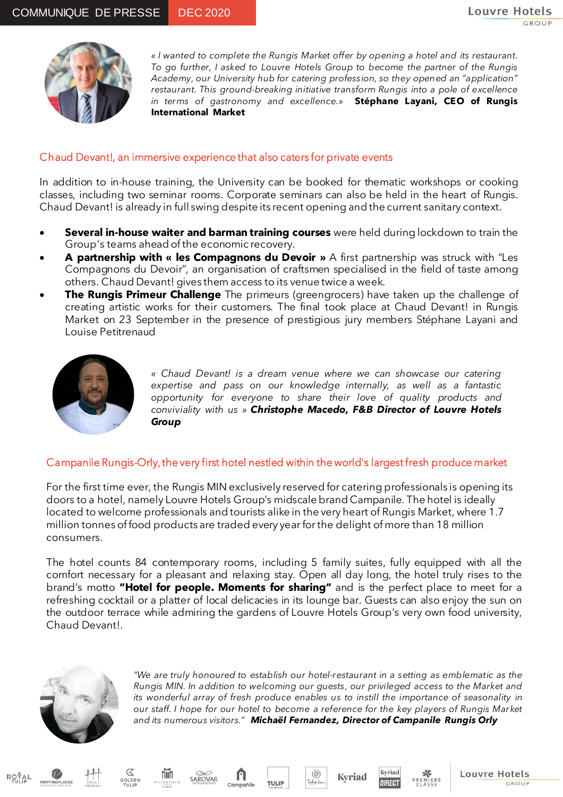

*« I wanted to complete the Rungis Market offer by opening a hotel and its restaurant. To go further, I asked to Louvre Hotels Group to become the partner of the Rungis Academy, our University hub for catering profession, so they opened an "application" restaurant. This ground-breaking initiative transform Rungis into a pole of excellence in terms of gastronomy and excellence.»* **Stéphane Layani, CEO of Rungis International Market**

#### Chaud Devant!, an immersive experience that also caters for private events

In addition to in-house training, the University can be booked for thematic workshops or cooking classes, including two seminar rooms. Corporate seminars can also be held in the heart of Rungis. Chaud Devant! is already in full swing despite its recent opening and the current sanitary context.

- **Several in-house waiter and barman training courses** were held during lockdown to train the Group's teams ahead of the economic recovery.
- **A partnership with « les Compagnons du Devoir »** A first partnership was struck with "Les Compagnons du Devoir", an organisation of craftsmen specialised in the field of taste among others. Chaud Devant! gives them access to its venue twice a week.
- **The Rungis Primeur Challenge** The primeurs (greengrocers) have taken up the challenge of creating artistic works for their customers. The final took place at Chaud Devant! in Rungis Market on 23 September in the presence of prestigious jury members Stéphane Layani and Louise Petitrenaud



*« Chaud Devant! is a dream venue where we can showcase our catering expertise and pass on our knowledge internally, as well as a fantastic opportunity for everyone to share their love of quality products and conviviality with us » Christophe Macedo, F&B Director of Louvre Hotels Group*

### Campanile Rungis-Orly, the very first hotel nestled within the world's largest fresh produce market

For the first time ever, the Rungis MIN exclusively reserved for catering professionals is opening its doors to a hotel, namely Louvre Hotels Group's midscale brand Campanile. The hotel is ideally located to welcome professionals and tourists alike in the very heart of Rungis Market, where 1.7 million tonnes of food products are traded every year for the delight of more than 18 million consumers.

The hotel counts 84 contemporary rooms, including 5 family suites, fully equipped with all the comfort necessary for a pleasant and relaxing stay. Open all day long, the hotel truly rises to the brand's motto **"Hotel for people. Moments for sharing"** and is the perfect place to meet for a refreshing cocktail or a platter of local delicacies in its lounge bar. Guests can also enjoy the sun on the outdoor terrace while admiring the gardens of Louvre Hotels Group's very own food university, Chaud Devant!.



 $\varnothing$ 

GOLDEN

**Niih** 

SAROVAR

*"We are truly honoured to establish our hotel-restaurant in a setting as emblematic as the Rungis MIN. In addition to welcoming our guests, our privileged access to the Market and its wonderful array of fresh produce enables us to instill the importance of seasonality in our staff. I hope for our hotel to become a reference for the key players of Rungis Market and its numerous visitors." Michaël Fernandez, Director of Campanile Rungis Orly*

 $\circ$ 

**TULIP** 

Campanile

**Kyriad** 

Kvriad